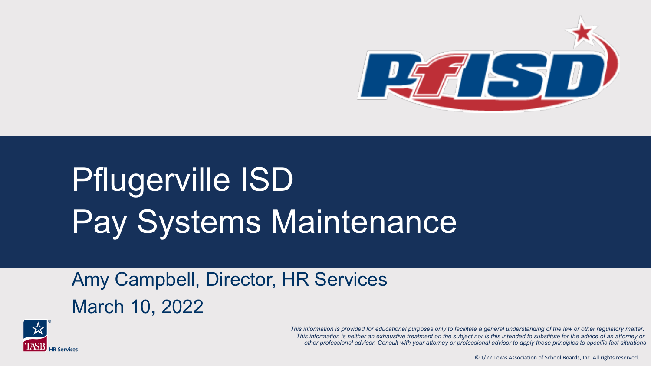

## Pflugerville ISD Pay Systems Maintenance

Amy Campbell, Director, HR Services March 10, 2022



*This information is provided for educational purposes only to facilitate a general understanding of the law or other regulatory matter. This information is neither an exhaustive treatment on the subject nor is this intended to substitute for the advice of an attorney or other professional advisor. Consult with your attorney or professional advisor to apply these principles to specific fact situations*

©.1/22 Texas Association of School Boards, Inc. All rights reserved.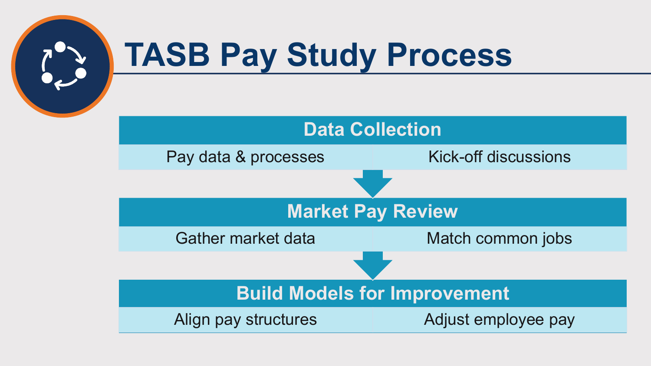

## **TASB Pay Study Process**

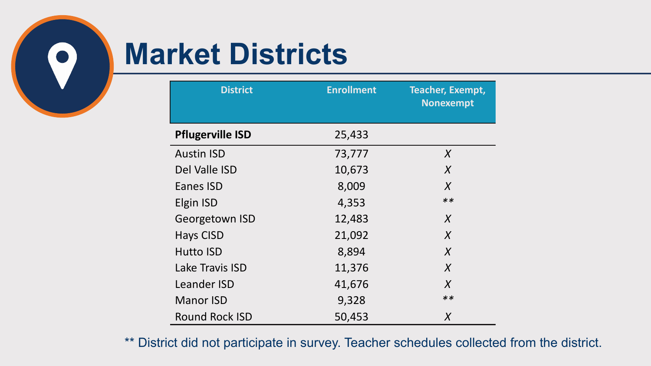

## **Market Districts**

| <b>District</b>         | <b>Enrollment</b> | <b>Teacher, Exempt,</b><br><b>Nonexempt</b> |
|-------------------------|-------------------|---------------------------------------------|
| <b>Pflugerville ISD</b> | 25,433            |                                             |
| <b>Austin ISD</b>       | 73,777            | $\chi$                                      |
| Del Valle ISD           | 10,673            | $\chi$                                      |
| Eanes ISD               | 8,009             | $\chi$                                      |
| Elgin ISD               | 4,353             | $**$                                        |
| Georgetown ISD          | 12,483            | $\chi$                                      |
| <b>Hays CISD</b>        | 21,092            | $\chi$                                      |
| <b>Hutto ISD</b>        | 8,894             | $\chi$                                      |
| Lake Travis ISD         | 11,376            | $\chi$                                      |
| <b>Leander ISD</b>      | 41,676            | $\chi$                                      |
| <b>Manor ISD</b>        | 9,328             | $**$                                        |
| <b>Round Rock ISD</b>   | 50,453            | $\chi$                                      |

\*\* District did not participate in survey. Teacher schedules collected from the district.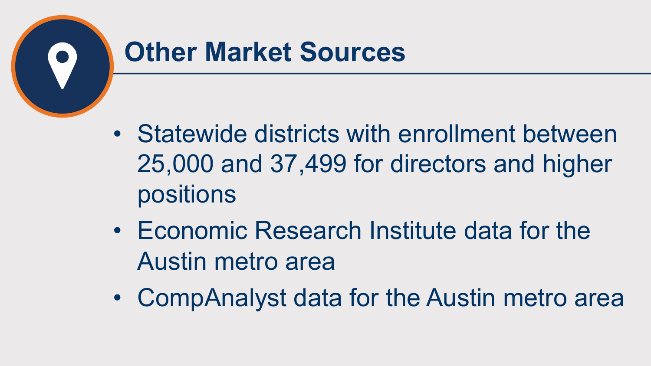

#### **Other Market Sources**

- Statewide districts with enrollment between 25,000 and 37,499 for directors and higher positions
- Economic Research Institute data for the Austin metro area
- CompAnalyst data for the Austin metro area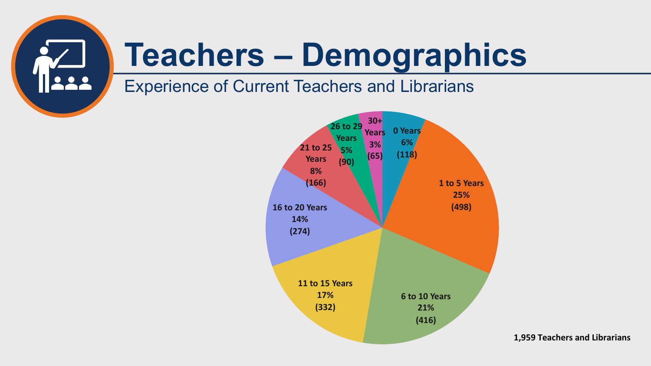

## **Teachers – Demographics**

#### Experience of Current Teachers and Librarians



**1,959 Teachers and Librarians**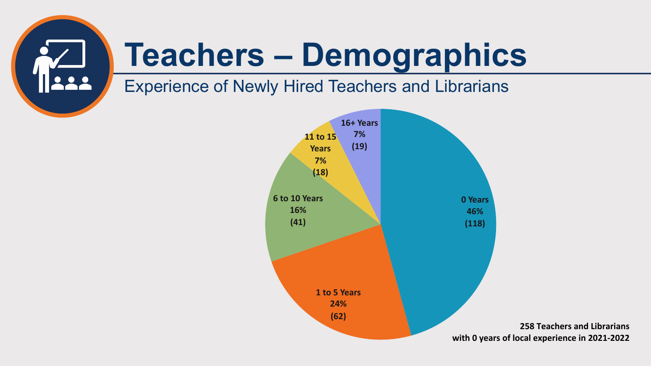

## **Teachers – Demographics**

#### Experience of Newly Hired Teachers and Librarians

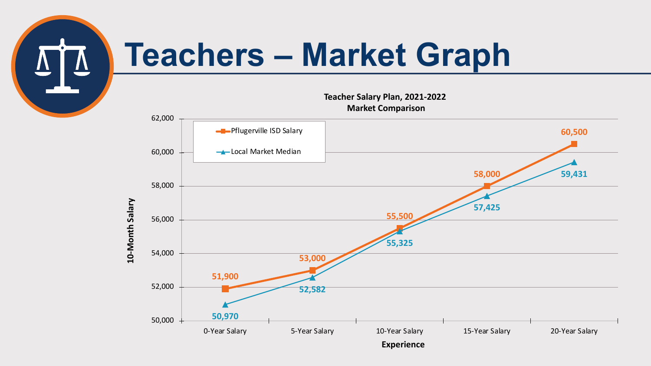

## **Teachers – Market Graph**

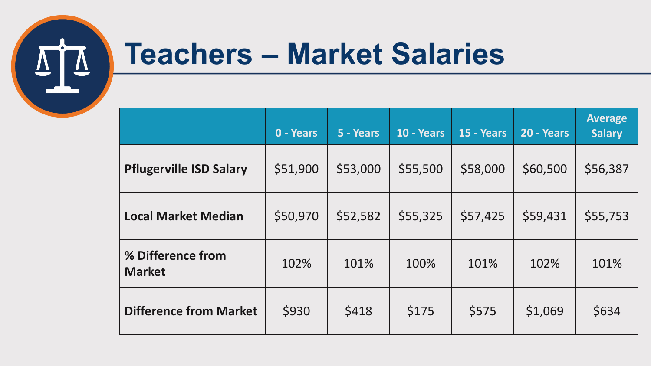

### **Teachers – Market Salaries**

|                                    | 0 - Years | 5 - Years | 10 - Years | 15 - Years | 20 - Years | <b>Average</b><br><b>Salary</b> |
|------------------------------------|-----------|-----------|------------|------------|------------|---------------------------------|
| <b>Pflugerville ISD Salary</b>     | \$51,900  | \$53,000  | \$55,500   | \$58,000   | \$60,500   | \$56,387                        |
| <b>Local Market Median</b>         | \$50,970  | \$52,582  | \$55,325   | \$57,425   | \$59,431   | \$55,753                        |
| % Difference from<br><b>Market</b> | 102%      | 101%      | 100%       | 101%       | 102%       | 101%                            |
| <b>Difference from Market</b>      | \$930     | \$418     | \$175      | \$575      | \$1,069    | \$634                           |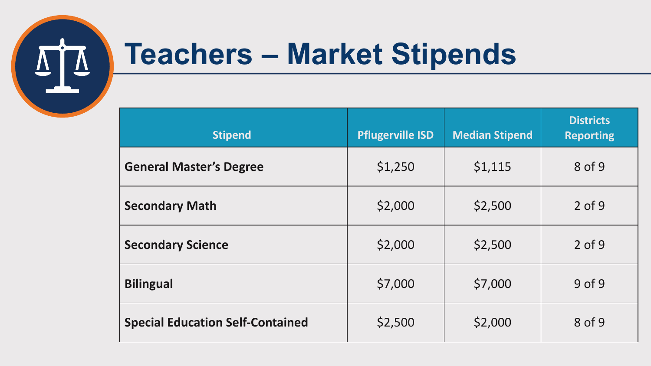

## **Teachers – Market Stipends**

| <b>Stipend</b>                          | <b>Pflugerville ISD</b> | <b>Median Stipend</b> | <b>Districts</b><br><b>Reporting</b> |
|-----------------------------------------|-------------------------|-----------------------|--------------------------------------|
| <b>General Master's Degree</b>          | \$1,250                 | \$1,115               | 8 of 9                               |
| <b>Secondary Math</b>                   | \$2,000                 | \$2,500               | $2$ of 9                             |
| <b>Secondary Science</b>                | \$2,000                 | \$2,500               | $2$ of 9                             |
| <b>Bilingual</b>                        | \$7,000                 | \$7,000               | $9$ of $9$                           |
| <b>Special Education Self-Contained</b> | \$2,500                 | \$2,000               | 8 of 9                               |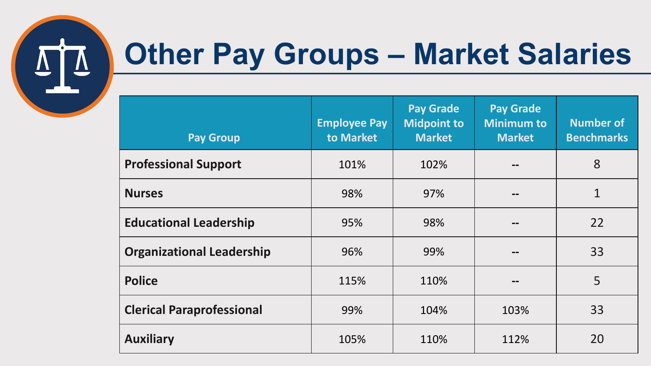

## **Other Pay Groups – Market Salaries**

| <b>Pay Group</b>                 | <b>Employee Pay</b><br>to Market | <b>Pay Grade</b><br><b>Midpoint to</b><br><b>Market</b> | <b>Pay Grade</b><br><b>Minimum to</b><br><b>Market</b> | <b>Number of</b><br><b>Benchmarks</b> |
|----------------------------------|----------------------------------|---------------------------------------------------------|--------------------------------------------------------|---------------------------------------|
| <b>Professional Support</b>      | 101%                             | 102%                                                    | --                                                     | 8                                     |
| <b>Nurses</b>                    | 98%                              | 97%                                                     | --                                                     | $\overline{1}$                        |
| <b>Educational Leadership</b>    | 95%                              | 98%                                                     |                                                        | 22                                    |
| <b>Organizational Leadership</b> | 96%                              | 99%                                                     | --                                                     | 33                                    |
| <b>Police</b>                    | 115%                             | 110%                                                    | --                                                     | 5                                     |
| <b>Clerical Paraprofessional</b> | 99%                              | 104%                                                    | 103%                                                   | 33                                    |
| <b>Auxiliary</b>                 | 105%                             | 110%                                                    | 112%                                                   | 20                                    |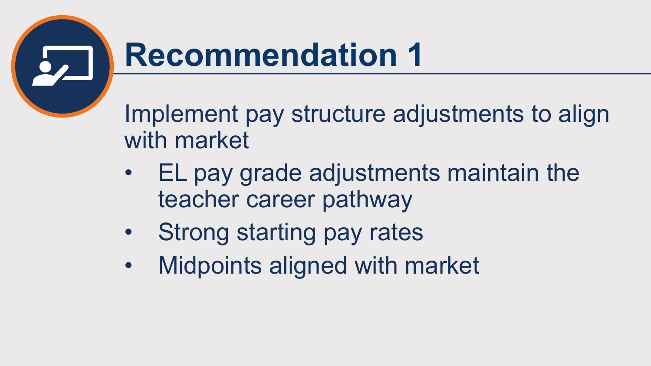

Implement pay structure adjustments to align with market

- EL pay grade adjustments maintain the teacher career pathway
- Strong starting pay rates
- Midpoints aligned with market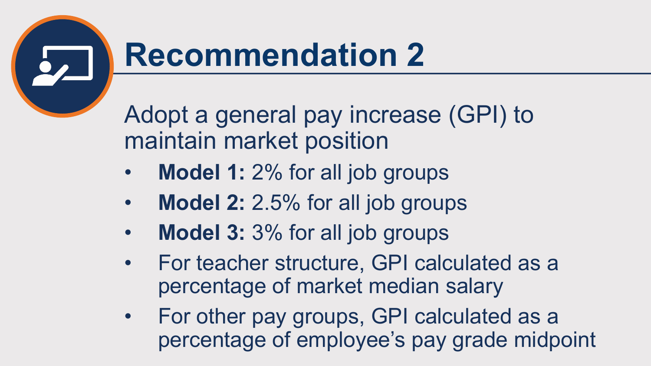

Adopt a general pay increase (GPI) to maintain market position

- **Model 1:** 2% for all job groups
- **Model 2:** 2.5% for all job groups
- **Model 3:** 3% for all job groups
- For teacher structure, GPI calculated as a percentage of market median salary
- For other pay groups, GPI calculated as a percentage of employee's pay grade midpoint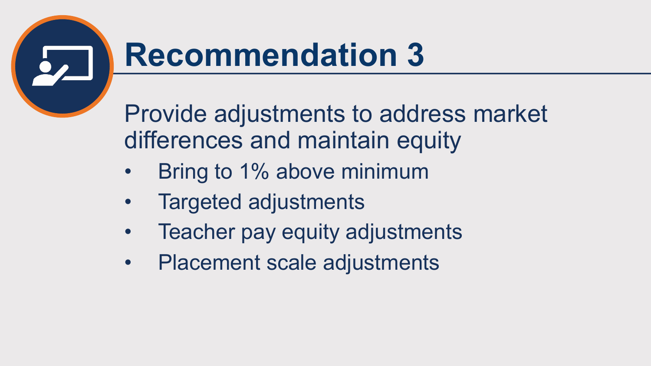

Provide adjustments to address market differences and maintain equity

- Bring to 1% above minimum
- Targeted adjustments
- Teacher pay equity adjustments
- Placement scale adjustments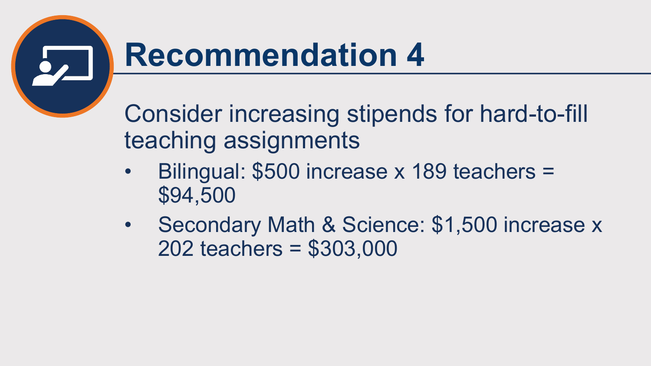

Consider increasing stipends for hard-to-fill teaching assignments

- Bilingual: \$500 increase x 189 teachers = \$94,500
- Secondary Math & Science: \$1,500 increase x 202 teachers = \$303,000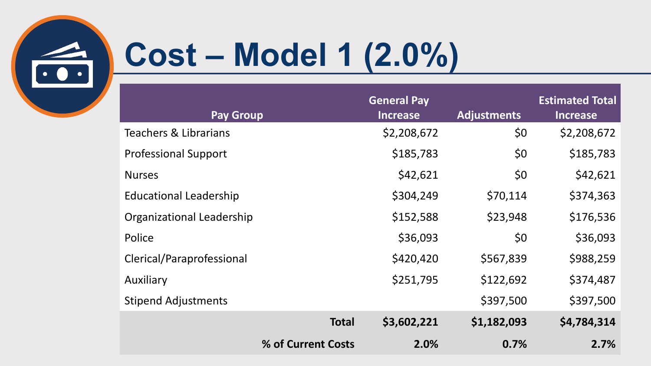

# **Cost – Model 1 (2.0%)**

| <b>Pay Group</b>              |                    | <b>General Pay</b><br><b>Increase</b> | <b>Adjustments</b> | <b>Estimated Total</b><br><b>Increase</b> |
|-------------------------------|--------------------|---------------------------------------|--------------------|-------------------------------------------|
| Teachers & Librarians         |                    | \$2,208,672                           | \$0                | \$2,208,672                               |
| <b>Professional Support</b>   |                    | \$185,783                             | \$0                | \$185,783                                 |
| <b>Nurses</b>                 |                    | \$42,621                              | \$0                | \$42,621                                  |
| <b>Educational Leadership</b> |                    | \$304,249                             | \$70,114           | \$374,363                                 |
| Organizational Leadership     |                    | \$152,588                             | \$23,948           | \$176,536                                 |
| Police                        |                    | \$36,093                              | \$0                | \$36,093                                  |
| Clerical/Paraprofessional     |                    | \$420,420                             | \$567,839          | \$988,259                                 |
| Auxiliary                     |                    | \$251,795                             | \$122,692          | \$374,487                                 |
| <b>Stipend Adjustments</b>    |                    |                                       | \$397,500          | \$397,500                                 |
|                               | <b>Total</b>       | \$3,602,221                           | \$1,182,093        | \$4,784,314                               |
|                               | % of Current Costs | 2.0%                                  | 0.7%               | 2.7%                                      |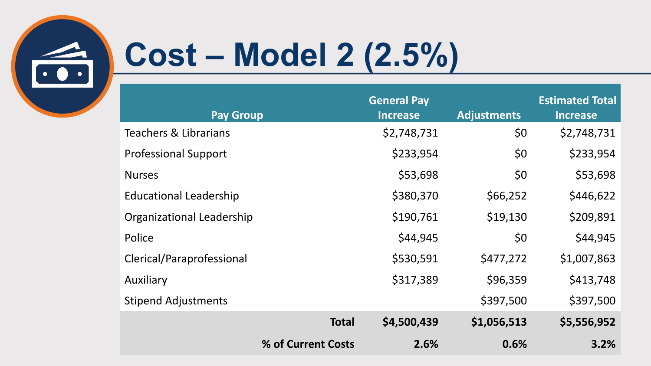

# **Cost – Model 2 (2.5%)**

|                                  |                    | <b>General Pay</b> |                    | <b>Estimated Total</b> |
|----------------------------------|--------------------|--------------------|--------------------|------------------------|
| <b>Pay Group</b>                 |                    | <b>Increase</b>    | <b>Adjustments</b> | <b>Increase</b>        |
| Teachers & Librarians            |                    | \$2,748,731        | \$0                | \$2,748,731            |
| <b>Professional Support</b>      |                    | \$233,954          | \$0                | \$233,954              |
| <b>Nurses</b>                    |                    | \$53,698           | \$0                | \$53,698               |
| <b>Educational Leadership</b>    |                    | \$380,370          | \$66,252           | \$446,622              |
| <b>Organizational Leadership</b> |                    | \$190,761          | \$19,130           | \$209,891              |
| Police                           |                    | \$44,945           | \$0                | \$44,945               |
| Clerical/Paraprofessional        |                    | \$530,591          | \$477,272          | \$1,007,863            |
| Auxiliary                        |                    | \$317,389          | \$96,359           | \$413,748              |
| <b>Stipend Adjustments</b>       |                    |                    | \$397,500          | \$397,500              |
|                                  | <b>Total</b>       | \$4,500,439        | \$1,056,513        | \$5,556,952            |
|                                  | % of Current Costs | 2.6%               | 0.6%               | 3.2%                   |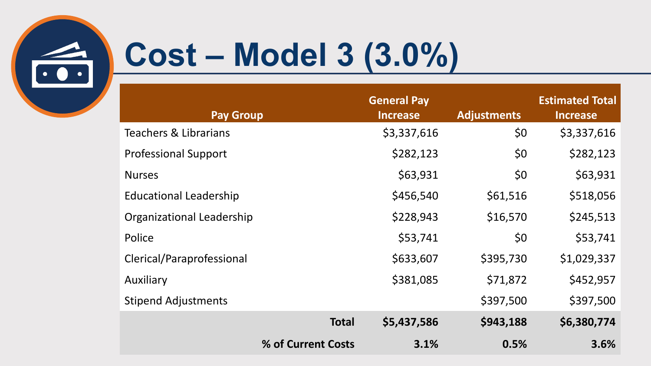

# **Cost – Model 3 (3.0%)**

| <b>Pay Group</b>                 |                    | <b>General Pay</b><br><b>Increase</b> | <b>Adjustments</b> | <b>Estimated Total</b><br><b>Increase</b> |
|----------------------------------|--------------------|---------------------------------------|--------------------|-------------------------------------------|
| <b>Teachers &amp; Librarians</b> |                    | \$3,337,616                           | \$0                | \$3,337,616                               |
| <b>Professional Support</b>      |                    | \$282,123                             | \$0                | \$282,123                                 |
| <b>Nurses</b>                    |                    | \$63,931                              | \$0                | \$63,931                                  |
| <b>Educational Leadership</b>    |                    | \$456,540                             | \$61,516           | \$518,056                                 |
| <b>Organizational Leadership</b> |                    | \$228,943                             | \$16,570           | \$245,513                                 |
| Police                           |                    | \$53,741                              | \$0                | \$53,741                                  |
| Clerical/Paraprofessional        |                    | \$633,607                             | \$395,730          | \$1,029,337                               |
| Auxiliary                        |                    | \$381,085                             | \$71,872           | \$452,957                                 |
| <b>Stipend Adjustments</b>       |                    |                                       | \$397,500          | \$397,500                                 |
|                                  | <b>Total</b>       | \$5,437,586                           | \$943,188          | \$6,380,774                               |
|                                  | % of Current Costs | 3.1%                                  | 0.5%               | 3.6%                                      |